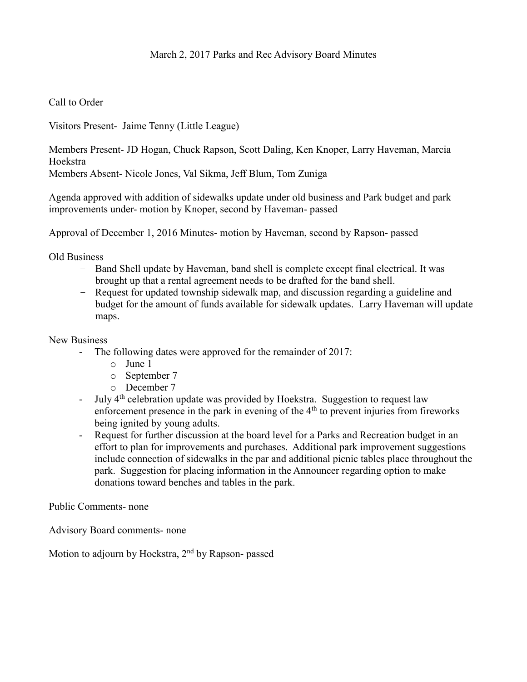# March 2, 2017 Parks and Rec Advisory Board Minutes

## Call to Order

Visitors Present- Jaime Tenny (Little League)

Members Present- JD Hogan, Chuck Rapson, Scott Daling, Ken Knoper, Larry Haveman, Marcia Hoekstra

Members Absent- Nicole Jones, Val Sikma, Jeff Blum, Tom Zuniga

Agenda approved with addition of sidewalks update under old business and Park budget and park improvements under- motion by Knoper, second by Haveman- passed

Approval of December 1, 2016 Minutes- motion by Haveman, second by Rapson- passed

Old Business

- Band Shell update by Haveman, band shell is complete except final electrical. It was brought up that a rental agreement needs to be drafted for the band shell.
- Request for updated township sidewalk map, and discussion regarding a guideline and budget for the amount of funds available for sidewalk updates. Larry Haveman will update maps.

#### New Business

- The following dates were approved for the remainder of 2017:
	- o June 1
	- o September 7
	- o December 7
- July 4<sup>th</sup> celebration update was provided by Hoekstra. Suggestion to request law enforcement presence in the park in evening of the  $4<sup>th</sup>$  to prevent injuries from fireworks being ignited by young adults.
- Request for further discussion at the board level for a Parks and Recreation budget in an effort to plan for improvements and purchases. Additional park improvement suggestions include connection of sidewalks in the par and additional picnic tables place throughout the park. Suggestion for placing information in the Announcer regarding option to make donations toward benches and tables in the park.

Public Comments- none

Advisory Board comments- none

Motion to adjourn by Hoekstra,  $2<sup>nd</sup>$  by Rapson- passed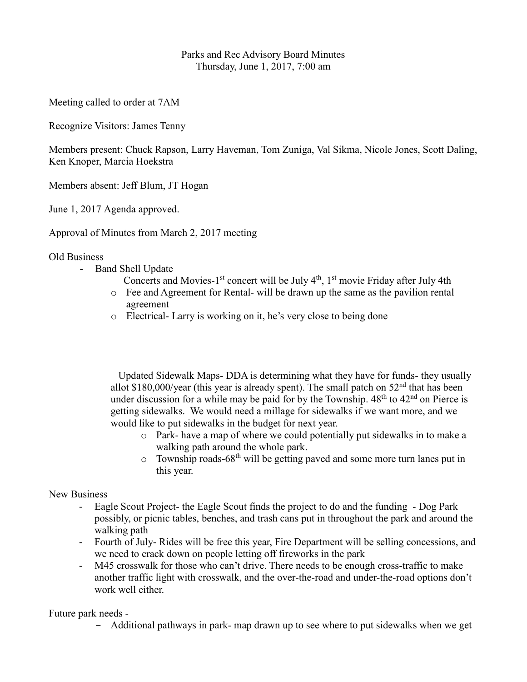# Parks and Rec Advisory Board Minutes Thursday, June 1, 2017, 7:00 am

Meeting called to order at 7AM

Recognize Visitors: James Tenny

Members present: Chuck Rapson, Larry Haveman, Tom Zuniga, Val Sikma, Nicole Jones, Scott Daling, Ken Knoper, Marcia Hoekstra

Members absent: Jeff Blum, JT Hogan

June 1, 2017 Agenda approved.

Approval of Minutes from March 2, 2017 meeting

### Old Business

- Band Shell Update
- Concerts and Movies-1<sup>st</sup> concert will be July  $4<sup>th</sup>$ , 1<sup>st</sup> movie Friday after July 4th
	- o Fee and Agreement for Rental- will be drawn up the same as the pavilion rental agreement
	- o Electrical- Larry is working on it, he's very close to being done

 Updated Sidewalk Maps- DDA is determining what they have for funds- they usually allot \$180,000/year (this year is already spent). The small patch on  $52<sup>nd</sup>$  that has been under discussion for a while may be paid for by the Township.  $48<sup>th</sup>$  to  $42<sup>nd</sup>$  on Pierce is getting sidewalks. We would need a millage for sidewalks if we want more, and we would like to put sidewalks in the budget for next year.

- o Park- have a map of where we could potentially put sidewalks in to make a walking path around the whole park.
- $\circ$  Township roads-68<sup>th</sup> will be getting paved and some more turn lanes put in this year.

### New Business

- Eagle Scout Project- the Eagle Scout finds the project to do and the funding Dog Park possibly, or picnic tables, benches, and trash cans put in throughout the park and around the walking path
- Fourth of July- Rides will be free this year, Fire Department will be selling concessions, and we need to crack down on people letting off fireworks in the park
- M45 crosswalk for those who can't drive. There needs to be enough cross-traffic to make another traffic light with crosswalk, and the over-the-road and under-the-road options don't work well either.

Future park needs -

– Additional pathways in park- map drawn up to see where to put sidewalks when we get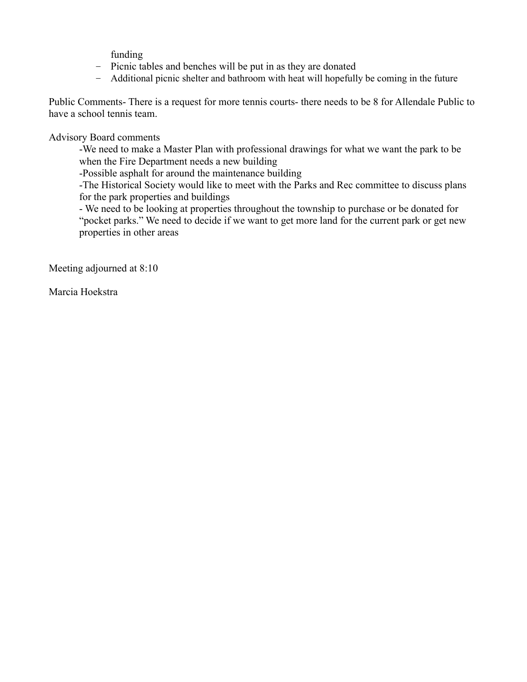funding

- Picnic tables and benches will be put in as they are donated
- Additional picnic shelter and bathroom with heat will hopefully be coming in the future

Public Comments- There is a request for more tennis courts- there needs to be 8 for Allendale Public to have a school tennis team.

Advisory Board comments

-We need to make a Master Plan with professional drawings for what we want the park to be when the Fire Department needs a new building

-Possible asphalt for around the maintenance building

-The Historical Society would like to meet with the Parks and Rec committee to discuss plans for the park properties and buildings

- We need to be looking at properties throughout the township to purchase or be donated for "pocket parks." We need to decide if we want to get more land for the current park or get new properties in other areas

Meeting adjourned at 8:10

Marcia Hoekstra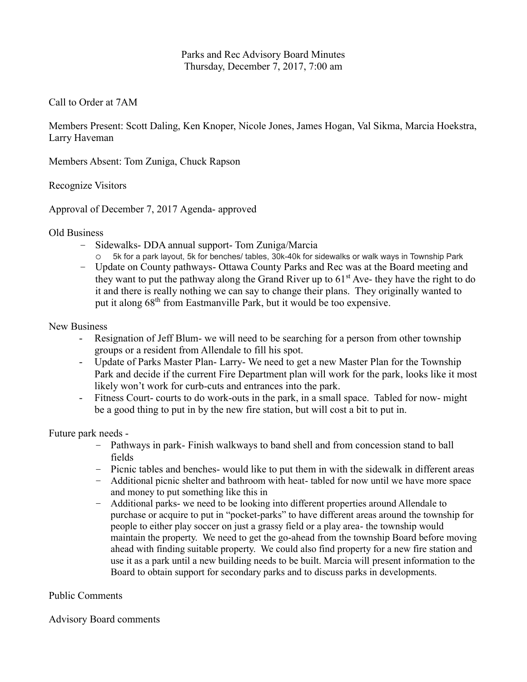# Parks and Rec Advisory Board Minutes Thursday, December 7, 2017, 7:00 am

# Call to Order at 7AM

Members Present: Scott Daling, Ken Knoper, Nicole Jones, James Hogan, Val Sikma, Marcia Hoekstra, Larry Haveman

Members Absent: Tom Zuniga, Chuck Rapson

Recognize Visitors

Approval of December 7, 2017 Agenda- approved

### Old Business

- Sidewalks- DDA annual support- Tom Zuniga/Marcia
	- 5k for a park layout, 5k for benches/ tables, 30k-40k for sidewalks or walk ways in Township Park
- Update on County pathways- Ottawa County Parks and Rec was at the Board meeting and they want to put the pathway along the Grand River up to  $61<sup>st</sup>$  Ave- they have the right to do it and there is really nothing we can say to change their plans. They originally wanted to put it along 68<sup>th</sup> from Eastmanville Park, but it would be too expensive.

### New Business

- Resignation of Jeff Blum- we will need to be searching for a person from other township groups or a resident from Allendale to fill his spot.
- Update of Parks Master Plan- Larry- We need to get a new Master Plan for the Township Park and decide if the current Fire Department plan will work for the park, looks like it most likely won't work for curb-cuts and entrances into the park.
- Fitness Court- courts to do work-outs in the park, in a small space. Tabled for now- might be a good thing to put in by the new fire station, but will cost a bit to put in.

### Future park needs -

- Pathways in park- Finish walkways to band shell and from concession stand to ball fields
- Picnic tables and benches- would like to put them in with the sidewalk in different areas
- Additional picnic shelter and bathroom with heat- tabled for now until we have more space and money to put something like this in
- Additional parks- we need to be looking into different properties around Allendale to purchase or acquire to put in "pocket-parks" to have different areas around the township for people to either play soccer on just a grassy field or a play area- the township would maintain the property. We need to get the go-ahead from the township Board before moving ahead with finding suitable property. We could also find property for a new fire station and use it as a park until a new building needs to be built. Marcia will present information to the Board to obtain support for secondary parks and to discuss parks in developments.

# Public Comments

### Advisory Board comments